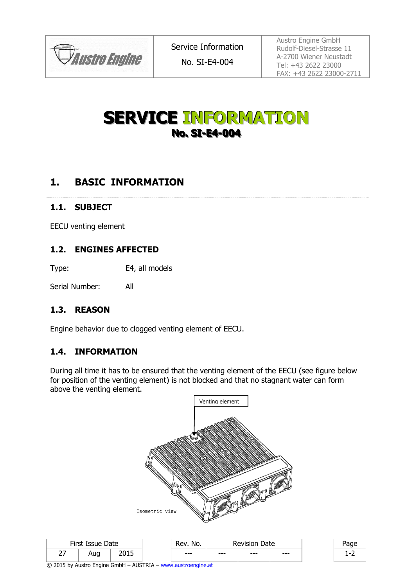

No. SI-E4-004

Austro Engine GmbH Rudolf-Diesel-Strasse 11 A-2700 Wiener Neustadt Tel: +43 2622 23000 FAX: +43 2622 23000-2711

# **SERVICE INFORMATION No. SI-E4-004**

# **1. BASIC INFORMATION**

#### **1.1. SUBJECT**

EECU venting element

#### **1.2. ENGINES AFFECTED**

Type: E4, all models

Serial Number: All

### **1.3. REASON**

Engine behavior due to clogged venting element of EECU.

#### **1.4. INFORMATION**

During all time it has to be ensured that the venting element of the EECU (see figure below for position of the venting element) is not blocked and that no stagnant water can form above the venting element.



| First Issue<br>Date     |     |      | Rev.<br>No. | Date<br>י יטוב. |      |         |  |
|-------------------------|-----|------|-------------|-----------------|------|---------|--|
| $\sim$ $-$<br><u>.,</u> | Aug | ה הר | $--$        | $--$            | $--$ | $- - -$ |  |

© 2015 by Austro Engine GmbH – AUSTRIA – [www.austroengine.at](http://www.austroengine.at/)